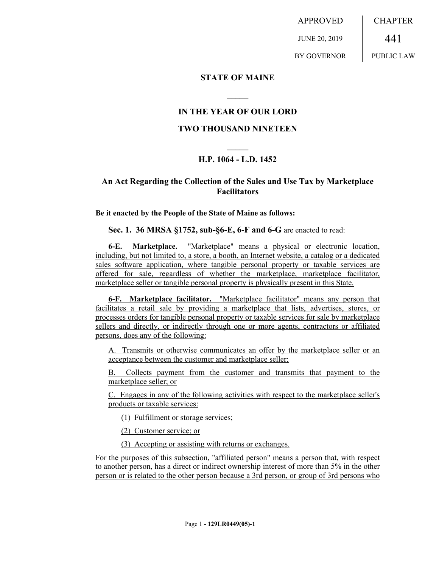APPROVED JUNE 20, 2019 BY GOVERNOR **CHAPTER** 441 PUBLIC LAW

### **STATE OF MAINE**

### **IN THE YEAR OF OUR LORD**

**\_\_\_\_\_**

#### **TWO THOUSAND NINETEEN**

# **\_\_\_\_\_ H.P. 1064 - L.D. 1452**

## **An Act Regarding the Collection of the Sales and Use Tax by Marketplace Facilitators**

**Be it enacted by the People of the State of Maine as follows:**

**Sec. 1. 36 MRSA §1752, sub-§6-E, 6-F and 6-G** are enacted to read:

**6-E. Marketplace.** "Marketplace" means a physical or electronic location, including, but not limited to, a store, a booth, an Internet website, a catalog or a dedicated sales software application, where tangible personal property or taxable services are offered for sale, regardless of whether the marketplace, marketplace facilitator, marketplace seller or tangible personal property is physically present in this State.

**6-F. Marketplace facilitator.** "Marketplace facilitator" means any person that facilitates a retail sale by providing a marketplace that lists, advertises, stores, or processes orders for tangible personal property or taxable services for sale by marketplace sellers and directly, or indirectly through one or more agents, contractors or affiliated persons, does any of the following:

A. Transmits or otherwise communicates an offer by the marketplace seller or an acceptance between the customer and marketplace seller;

B. Collects payment from the customer and transmits that payment to the marketplace seller; or

C. Engages in any of the following activities with respect to the marketplace seller's products or taxable services:

(1) Fulfillment or storage services;

(2) Customer service; or

(3) Accepting or assisting with returns or exchanges.

For the purposes of this subsection, "affiliated person" means a person that, with respect to another person, has a direct or indirect ownership interest of more than 5% in the other person or is related to the other person because a 3rd person, or group of 3rd persons who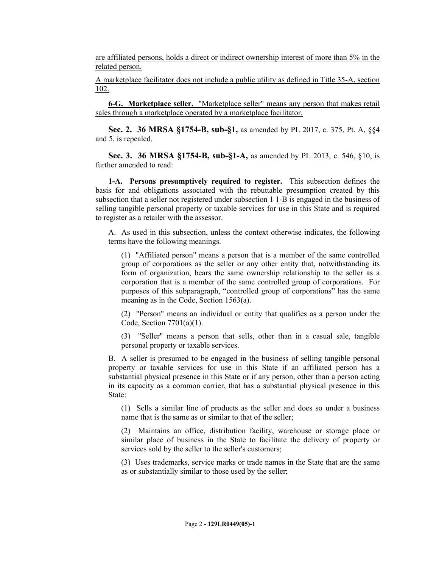are affiliated persons, holds a direct or indirect ownership interest of more than 5% in the related person.

A marketplace facilitator does not include a public utility as defined in Title 35-A, section 102.

**6-G. Marketplace seller.** "Marketplace seller" means any person that makes retail sales through a marketplace operated by a marketplace facilitator.

**Sec. 2. 36 MRSA §1754-B, sub-§1,** as amended by PL 2017, c. 375, Pt. A, §§4 and 5, is repealed.

**Sec. 3. 36 MRSA §1754-B, sub-§1-A,** as amended by PL 2013, c. 546, §10, is further amended to read:

**1-A. Persons presumptively required to register.** This subsection defines the basis for and obligations associated with the rebuttable presumption created by this subsection that a seller not registered under subsection  $\frac{1}{1-B}$  is engaged in the business of selling tangible personal property or taxable services for use in this State and is required to register as a retailer with the assessor.

A. As used in this subsection, unless the context otherwise indicates, the following terms have the following meanings.

(1) "Affiliated person" means a person that is a member of the same controlled group of corporations as the seller or any other entity that, notwithstanding its form of organization, bears the same ownership relationship to the seller as a corporation that is a member of the same controlled group of corporations. For purposes of this subparagraph, "controlled group of corporations" has the same meaning as in the Code, Section 1563(a).

(2) "Person" means an individual or entity that qualifies as a person under the Code, Section 7701(a)(1).

(3) "Seller" means a person that sells, other than in a casual sale, tangible personal property or taxable services.

B. A seller is presumed to be engaged in the business of selling tangible personal property or taxable services for use in this State if an affiliated person has a substantial physical presence in this State or if any person, other than a person acting in its capacity as a common carrier, that has a substantial physical presence in this State:

(1) Sells a similar line of products as the seller and does so under a business name that is the same as or similar to that of the seller;

(2) Maintains an office, distribution facility, warehouse or storage place or similar place of business in the State to facilitate the delivery of property or services sold by the seller to the seller's customers;

(3) Uses trademarks, service marks or trade names in the State that are the same as or substantially similar to those used by the seller;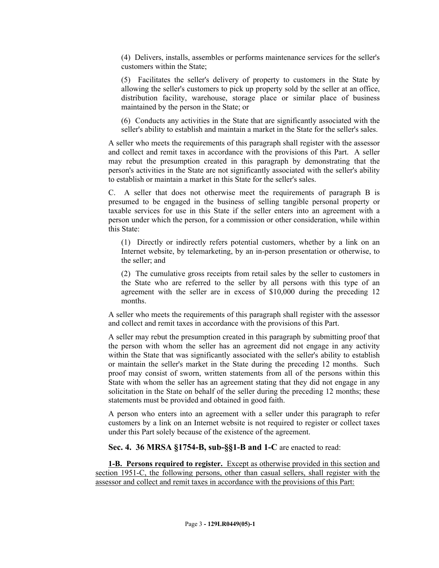(4) Delivers, installs, assembles or performs maintenance services for the seller's customers within the State;

(5) Facilitates the seller's delivery of property to customers in the State by allowing the seller's customers to pick up property sold by the seller at an office, distribution facility, warehouse, storage place or similar place of business maintained by the person in the State; or

(6) Conducts any activities in the State that are significantly associated with the seller's ability to establish and maintain a market in the State for the seller's sales.

A seller who meets the requirements of this paragraph shall register with the assessor and collect and remit taxes in accordance with the provisions of this Part. A seller may rebut the presumption created in this paragraph by demonstrating that the person's activities in the State are not significantly associated with the seller's ability to establish or maintain a market in this State for the seller's sales.

C. A seller that does not otherwise meet the requirements of paragraph B is presumed to be engaged in the business of selling tangible personal property or taxable services for use in this State if the seller enters into an agreement with a person under which the person, for a commission or other consideration, while within this State:

(1) Directly or indirectly refers potential customers, whether by a link on an Internet website, by telemarketing, by an in-person presentation or otherwise, to the seller; and

(2) The cumulative gross receipts from retail sales by the seller to customers in the State who are referred to the seller by all persons with this type of an agreement with the seller are in excess of \$10,000 during the preceding 12 months.

A seller who meets the requirements of this paragraph shall register with the assessor and collect and remit taxes in accordance with the provisions of this Part.

A seller may rebut the presumption created in this paragraph by submitting proof that the person with whom the seller has an agreement did not engage in any activity within the State that was significantly associated with the seller's ability to establish or maintain the seller's market in the State during the preceding 12 months. Such proof may consist of sworn, written statements from all of the persons within this State with whom the seller has an agreement stating that they did not engage in any solicitation in the State on behalf of the seller during the preceding 12 months; these statements must be provided and obtained in good faith.

A person who enters into an agreement with a seller under this paragraph to refer customers by a link on an Internet website is not required to register or collect taxes under this Part solely because of the existence of the agreement.

**Sec. 4. 36 MRSA §1754-B, sub-§§1-B and 1-C** are enacted to read:

**1-B. Persons required to register.** Except as otherwise provided in this section and section 1951-C, the following persons, other than casual sellers, shall register with the assessor and collect and remit taxes in accordance with the provisions of this Part: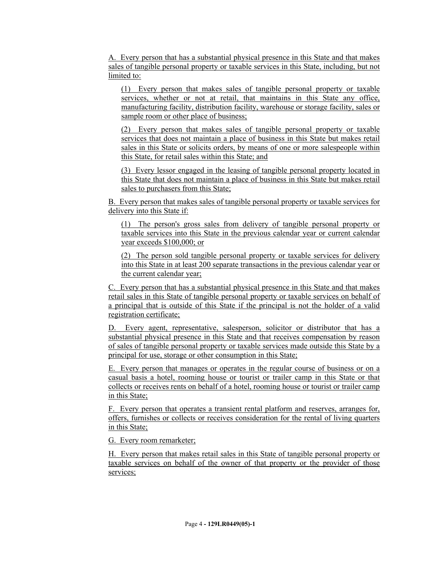A. Every person that has a substantial physical presence in this State and that makes sales of tangible personal property or taxable services in this State, including, but not limited to:

(1) Every person that makes sales of tangible personal property or taxable services, whether or not at retail, that maintains in this State any office, manufacturing facility, distribution facility, warehouse or storage facility, sales or sample room or other place of business;

(2) Every person that makes sales of tangible personal property or taxable services that does not maintain a place of business in this State but makes retail sales in this State or solicits orders, by means of one or more salespeople within this State, for retail sales within this State; and

(3) Every lessor engaged in the leasing of tangible personal property located in this State that does not maintain a place of business in this State but makes retail sales to purchasers from this State;

B. Every person that makes sales of tangible personal property or taxable services for delivery into this State if:

(1) The person's gross sales from delivery of tangible personal property or taxable services into this State in the previous calendar year or current calendar year exceeds \$100,000; or

(2) The person sold tangible personal property or taxable services for delivery into this State in at least 200 separate transactions in the previous calendar year or the current calendar year;

C. Every person that has a substantial physical presence in this State and that makes retail sales in this State of tangible personal property or taxable services on behalf of a principal that is outside of this State if the principal is not the holder of a valid registration certificate;

D. Every agent, representative, salesperson, solicitor or distributor that has a substantial physical presence in this State and that receives compensation by reason of sales of tangible personal property or taxable services made outside this State by a principal for use, storage or other consumption in this State;

E. Every person that manages or operates in the regular course of business or on a casual basis a hotel, rooming house or tourist or trailer camp in this State or that collects or receives rents on behalf of a hotel, rooming house or tourist or trailer camp in this State;

F. Every person that operates a transient rental platform and reserves, arranges for, offers, furnishes or collects or receives consideration for the rental of living quarters in this State;

G. Every room remarketer;

H. Every person that makes retail sales in this State of tangible personal property or taxable services on behalf of the owner of that property or the provider of those services;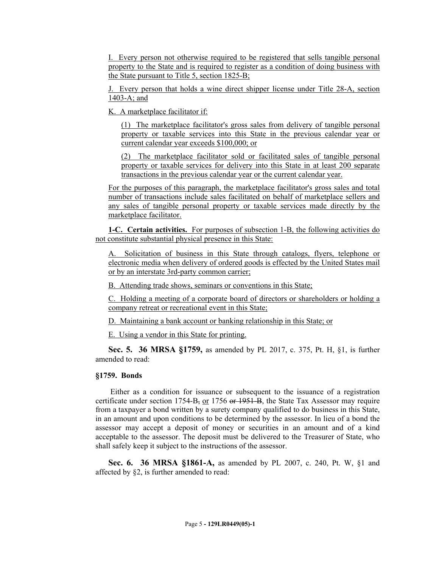I. Every person not otherwise required to be registered that sells tangible personal property to the State and is required to register as a condition of doing business with the State pursuant to Title 5, section 1825-B;

J. Every person that holds a wine direct shipper license under Title 28-A, section 1403-A; and

K. A marketplace facilitator if:

(1) The marketplace facilitator's gross sales from delivery of tangible personal property or taxable services into this State in the previous calendar year or current calendar year exceeds \$100,000; or

(2) The marketplace facilitator sold or facilitated sales of tangible personal property or taxable services for delivery into this State in at least 200 separate transactions in the previous calendar year or the current calendar year.

For the purposes of this paragraph, the marketplace facilitator's gross sales and total number of transactions include sales facilitated on behalf of marketplace sellers and any sales of tangible personal property or taxable services made directly by the marketplace facilitator.

**1-C. Certain activities.** For purposes of subsection 1-B, the following activities do not constitute substantial physical presence in this State:

A. Solicitation of business in this State through catalogs, flyers, telephone or electronic media when delivery of ordered goods is effected by the United States mail or by an interstate 3rd-party common carrier;

B. Attending trade shows, seminars or conventions in this State;

C. Holding a meeting of a corporate board of directors or shareholders or holding a company retreat or recreational event in this State;

D. Maintaining a bank account or banking relationship in this State; or

E. Using a vendor in this State for printing.

**Sec. 5. 36 MRSA §1759,** as amended by PL 2017, c. 375, Pt. H, §1, is further amended to read:

#### **§1759. Bonds**

 Either as a condition for issuance or subsequent to the issuance of a registration certificate under section  $1754-B<sub>z</sub>$  or  $1756$  or  $1951-B$ , the State Tax Assessor may require from a taxpayer a bond written by a surety company qualified to do business in this State, in an amount and upon conditions to be determined by the assessor. In lieu of a bond the assessor may accept a deposit of money or securities in an amount and of a kind acceptable to the assessor. The deposit must be delivered to the Treasurer of State, who shall safely keep it subject to the instructions of the assessor.

**Sec. 6. 36 MRSA §1861-A,** as amended by PL 2007, c. 240, Pt. W, §1 and affected by §2, is further amended to read: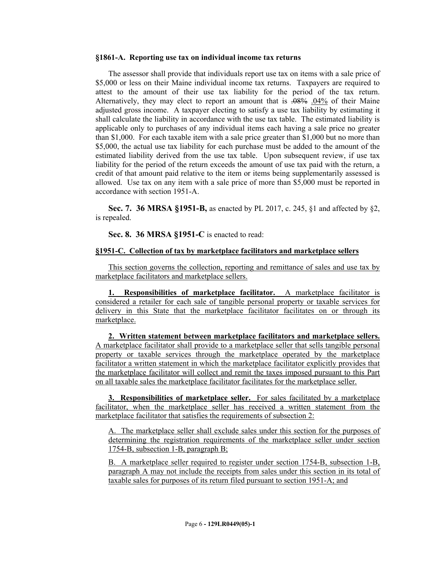#### **§1861-A. Reporting use tax on individual income tax returns**

The assessor shall provide that individuals report use tax on items with a sale price of \$5,000 or less on their Maine individual income tax returns. Taxpayers are required to attest to the amount of their use tax liability for the period of the tax return. Alternatively, they may elect to report an amount that is .08% .04% of their Maine adjusted gross income. A taxpayer electing to satisfy a use tax liability by estimating it shall calculate the liability in accordance with the use tax table. The estimated liability is applicable only to purchases of any individual items each having a sale price no greater than \$1,000. For each taxable item with a sale price greater than \$1,000 but no more than \$5,000, the actual use tax liability for each purchase must be added to the amount of the estimated liability derived from the use tax table. Upon subsequent review, if use tax liability for the period of the return exceeds the amount of use tax paid with the return, a credit of that amount paid relative to the item or items being supplementarily assessed is allowed. Use tax on any item with a sale price of more than \$5,000 must be reported in accordance with section 1951-A.

**Sec. 7. 36 MRSA §1951-B,** as enacted by PL 2017, c. 245, §1 and affected by §2, is repealed.

**Sec. 8. 36 MRSA §1951-C** is enacted to read:

#### **§1951-C. Collection of tax by marketplace facilitators and marketplace sellers**

This section governs the collection, reporting and remittance of sales and use tax by marketplace facilitators and marketplace sellers.

**1. Responsibilities of marketplace facilitator.** A marketplace facilitator is considered a retailer for each sale of tangible personal property or taxable services for delivery in this State that the marketplace facilitator facilitates on or through its marketplace.

**2. Written statement between marketplace facilitators and marketplace sellers.**  A marketplace facilitator shall provide to a marketplace seller that sells tangible personal property or taxable services through the marketplace operated by the marketplace facilitator a written statement in which the marketplace facilitator explicitly provides that the marketplace facilitator will collect and remit the taxes imposed pursuant to this Part on all taxable sales the marketplace facilitator facilitates for the marketplace seller.

**3. Responsibilities of marketplace seller.** For sales facilitated by a marketplace facilitator, when the marketplace seller has received a written statement from the marketplace facilitator that satisfies the requirements of subsection 2:

A. The marketplace seller shall exclude sales under this section for the purposes of determining the registration requirements of the marketplace seller under section 1754-B, subsection 1-B, paragraph B;

B. A marketplace seller required to register under section 1754-B, subsection 1-B, paragraph A may not include the receipts from sales under this section in its total of taxable sales for purposes of its return filed pursuant to section 1951-A; and